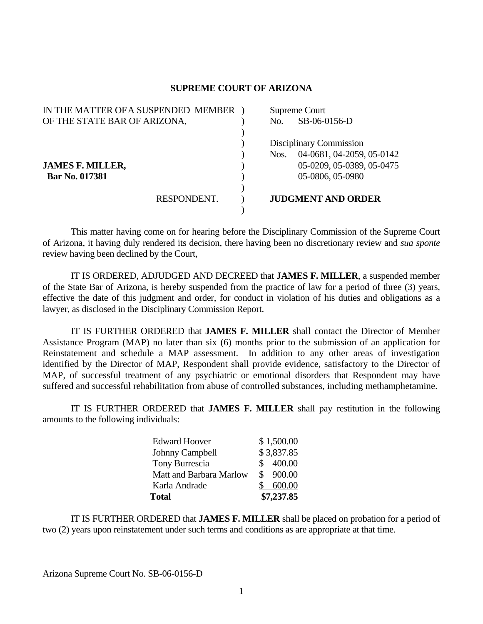## **SUPREME COURT OF ARIZONA**

| IN THE MATTER OF A SUSPENDED MEMBER |  | Supreme Court           |                           |  |
|-------------------------------------|--|-------------------------|---------------------------|--|
| OF THE STATE BAR OF ARIZONA,        |  | No.                     | SB-06-0156-D              |  |
|                                     |  |                         |                           |  |
|                                     |  | Disciplinary Commission |                           |  |
|                                     |  | Nos.                    | 04-0681, 04-2059, 05-0142 |  |
| <b>JAMES F. MILLER,</b>             |  |                         | 05-0209, 05-0389, 05-0475 |  |
| Bar No. 017381                      |  |                         | 05-0806, 05-0980          |  |
|                                     |  |                         |                           |  |
| RESPONDENT.                         |  |                         | <b>JUDGMENT AND ORDER</b> |  |
|                                     |  |                         |                           |  |

 This matter having come on for hearing before the Disciplinary Commission of the Supreme Court of Arizona, it having duly rendered its decision, there having been no discretionary review and *sua sponte* review having been declined by the Court,

 IT IS ORDERED, ADJUDGED AND DECREED that **JAMES F. MILLER**, a suspended member of the State Bar of Arizona, is hereby suspended from the practice of law for a period of three (3) years, effective the date of this judgment and order, for conduct in violation of his duties and obligations as a lawyer, as disclosed in the Disciplinary Commission Report.

 IT IS FURTHER ORDERED that **JAMES F. MILLER** shall contact the Director of Member Assistance Program (MAP) no later than six (6) months prior to the submission of an application for Reinstatement and schedule a MAP assessment. In addition to any other areas of investigation identified by the Director of MAP, Respondent shall provide evidence, satisfactory to the Director of MAP, of successful treatment of any psychiatric or emotional disorders that Respondent may have suffered and successful rehabilitation from abuse of controlled substances, including methamphetamine.

 IT IS FURTHER ORDERED that **JAMES F. MILLER** shall pay restitution in the following amounts to the following individuals:

| <b>Total</b>            | \$7,237.85 |
|-------------------------|------------|
| Karla Andrade           | 600.00     |
| Matt and Barbara Marlow | \$900.00   |
| Tony Burrescia          | 400.00     |
| Johnny Campbell         | \$3,837.85 |
| <b>Edward Hoover</b>    | \$1,500.00 |

IT IS FURTHER ORDERED that **JAMES F. MILLER** shall be placed on probation for a period of two (2) years upon reinstatement under such terms and conditions as are appropriate at that time.

Arizona Supreme Court No. SB-06-0156-D